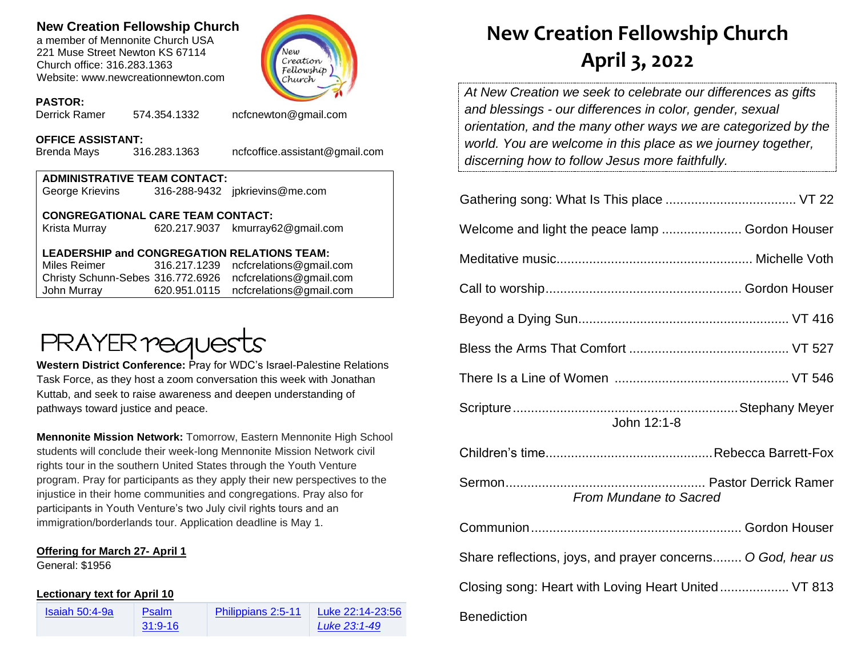### **New Creation Fellowship Church**

a member of Mennonite Church USA 221 Muse Street Newton KS 67114 Church office: 316.283.1363 Website: www.newcreationnewton.com



### **PASTOR:**

Derrick Ramer 574.354.1332 [ncfcnewton@gmail.com](mailto:ncfcnewton@gmail.com)

## **OFFICE ASSISTANT:**<br>Brenda Mavs 316.283.1363

Brenda Mays 316.283.1363 ncfcoffice.assistant@gmail.com

| <b>ADMINISTRATIVE TEAM CONTACT:</b>      |  |                                  |  |  |
|------------------------------------------|--|----------------------------------|--|--|
| George Krievins                          |  | 316-288-9432 jpkrievins@me.com   |  |  |
|                                          |  |                                  |  |  |
| <b>CONGREGATIONAL CARE TEAM CONTACT:</b> |  |                                  |  |  |
| Krista Murray                            |  | 620.217.9037 kmurray62@gmail.com |  |  |

### **LEADERSHIP and CONGREGATION RELATIONS TEAM:**

Miles Reimer [316.217.1239](mailto:316.217.1239) [ncfcrelations@gmail.com](mailto:ncfcrelations@gmail.com) Christy Schunn-Sebes 316.772.6926 [ncfcrelations@gmail.com](mailto:ncfcrelations@gmail.com) John Murray 620.951.0115 [ncfcrelations@gmail.com](mailto:ncfcrelations@gmail.com)

# **PRAYER requests**

**Western District Conference:** Pray for WDC's Israel-Palestine Relations Task Force, as they host a zoom conversation this week with Jonathan Kuttab, and seek to raise awareness and deepen understanding of pathways toward justice and peace.

**Mennonite Mission Network:** Tomorrow, Eastern Mennonite High School students will conclude their week-long Mennonite Mission Network civil rights tour in the southern United States through the Youth Venture program. Pray for participants as they apply their new perspectives to the injustice in their home communities and congregations. Pray also for participants in Youth Venture's two July civil rights tours and an immigration/borderlands tour. Application deadline is May 1.

### **Offering for March 27- April 1**

General: \$1956

#### **Lectionary text for April 10**

[Isaiah 50:4-9a](https://lectionary.library.vanderbilt.edu/texts.php?id=124) Psalm [31:9-16](https://lectionary.library.vanderbilt.edu/texts.php?id=124)

[Philippians 2:5-11](https://lectionary.library.vanderbilt.edu/texts.php?id=124) [Luke 22:14-23:56](https://lectionary.library.vanderbilt.edu/texts.php?id=124) *[Luke 23:1-49](https://lectionary.library.vanderbilt.edu/texts.php?id=124)*

Benediction

## **New Creation Fellowship Church April 3, 2022**

*At New Creation we seek to celebrate our differences as gifts and blessings - our differences in color, gender, sexual orientation, and the many other ways we are categorized by the world. You are welcome in this place as we journey together, discerning how to follow Jesus more faithfully.*

| Welcome and light the peace lamp  Gordon Houser             |  |  |  |
|-------------------------------------------------------------|--|--|--|
|                                                             |  |  |  |
|                                                             |  |  |  |
|                                                             |  |  |  |
|                                                             |  |  |  |
|                                                             |  |  |  |
| John 12:1-8                                                 |  |  |  |
|                                                             |  |  |  |
| <b>From Mundane to Sacred</b>                               |  |  |  |
|                                                             |  |  |  |
| Share reflections, joys, and prayer concerns O God, hear us |  |  |  |
| Closing song: Heart with Loving Heart United VT 813         |  |  |  |